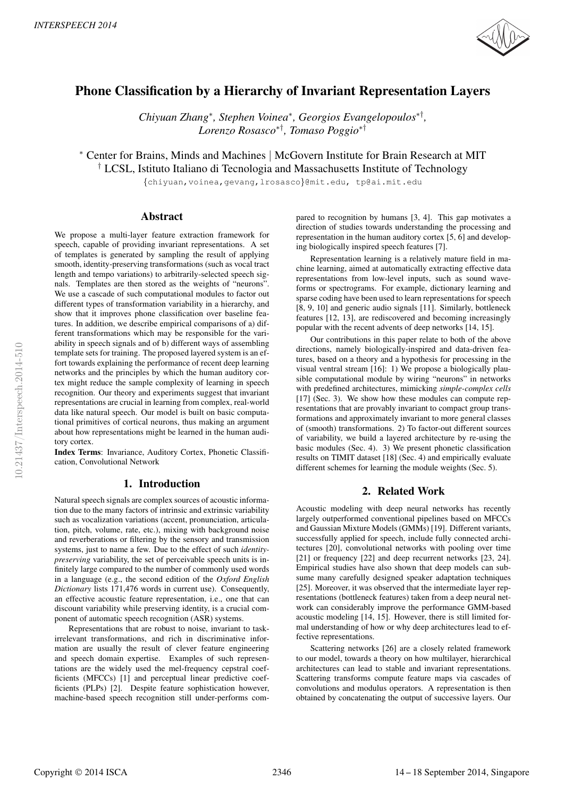

# Phone Classification by a Hierarchy of Invariant Representation Layers

*Chiyuan Zhang*<sup>∗</sup> *, Stephen Voinea*<sup>∗</sup> *, Georgios Evangelopoulos*∗† *, Lorenzo Rosasco*∗†*, Tomaso Poggio*∗†

<sup>∗</sup> Center for Brains, Minds and Machines | McGovern Institute for Brain Research at MIT † LCSL, Istituto Italiano di Tecnologia and Massachusetts Institute of Technology

{chiyuan,voinea,gevang,lrosasco}@mit.edu, tp@ai.mit.edu

### Abstract

We propose a multi-layer feature extraction framework for speech, capable of providing invariant representations. A set of templates is generated by sampling the result of applying smooth, identity-preserving transformations (such as vocal tract length and tempo variations) to arbitrarily-selected speech signals. Templates are then stored as the weights of "neurons". We use a cascade of such computational modules to factor out different types of transformation variability in a hierarchy, and show that it improves phone classification over baseline features. In addition, we describe empirical comparisons of a) different transformations which may be responsible for the variability in speech signals and of b) different ways of assembling template sets for training. The proposed layered system is an effort towards explaining the performance of recent deep learning networks and the principles by which the human auditory cortex might reduce the sample complexity of learning in speech recognition. Our theory and experiments suggest that invariant representations are crucial in learning from complex, real-world data like natural speech. Our model is built on basic computational primitives of cortical neurons, thus making an argument about how representations might be learned in the human auditory cortex.

Index Terms: Invariance, Auditory Cortex, Phonetic Classification, Convolutional Network

# 1. Introduction

Natural speech signals are complex sources of acoustic information due to the many factors of intrinsic and extrinsic variability such as vocalization variations (accent, pronunciation, articulation, pitch, volume, rate, etc.), mixing with background noise and reverberations or filtering by the sensory and transmission systems, just to name a few. Due to the effect of such *identitypreserving* variability, the set of perceivable speech units is infinitely large compared to the number of commonly used words in a language (e.g., the second edition of the *Oxford English Dictionary* lists 171,476 words in current use). Consequently, an effective acoustic feature representation, i.e., one that can discount variability while preserving identity, is a crucial component of automatic speech recognition (ASR) systems.

Representations that are robust to noise, invariant to taskirrelevant transformations, and rich in discriminative information are usually the result of clever feature engineering and speech domain expertise. Examples of such representations are the widely used the mel-frequency cepstral coefficients (MFCCs) [1] and perceptual linear predictive coefficients (PLPs) [2]. Despite feature sophistication however, machine-based speech recognition still under-performs compared to recognition by humans [3, 4]. This gap motivates a direction of studies towards understanding the processing and representation in the human auditory cortex [5, 6] and developing biologically inspired speech features [7].

Representation learning is a relatively mature field in machine learning, aimed at automatically extracting effective data representations from low-level inputs, such as sound waveforms or spectrograms. For example, dictionary learning and sparse coding have been used to learn representations for speech [8, 9, 10] and generic audio signals [11]. Similarly, bottleneck features [12, 13], are rediscovered and becoming increasingly popular with the recent advents of deep networks [14, 15].

Our contributions in this paper relate to both of the above directions, namely biologically-inspired and data-driven features, based on a theory and a hypothesis for processing in the visual ventral stream [16]: 1) We propose a biologically plausible computational module by wiring "neurons" in networks with predefined architectures, mimicking *simple-complex cells* [17] (Sec. 3). We show how these modules can compute representations that are provably invariant to compact group transformations and approximately invariant to more general classes of (smooth) transformations. 2) To factor-out different sources of variability, we build a layered architecture by re-using the basic modules (Sec. 4). 3) We present phonetic classification results on TIMIT dataset [18] (Sec. 4) and empirically evaluate different schemes for learning the module weights (Sec. 5).

# 2. Related Work

Acoustic modeling with deep neural networks has recently largely outperformed conventional pipelines based on MFCCs and Gaussian Mixture Models (GMMs) [19]. Different variants, successfully applied for speech, include fully connected architectures [20], convolutional networks with pooling over time [21] or frequency [22] and deep recurrent networks [23, 24]. Empirical studies have also shown that deep models can subsume many carefully designed speaker adaptation techniques [25]. Moreover, it was observed that the intermediate layer representations (bottleneck features) taken from a deep neural network can considerably improve the performance GMM-based acoustic modeling [14, 15]. However, there is still limited formal understanding of how or why deep architectures lead to effective representations.

Scattering networks [26] are a closely related framework to our model, towards a theory on how multilayer, hierarchical architectures can lead to stable and invariant representations. Scattering transforms compute feature maps via cascades of convolutions and modulus operators. A representation is then obtained by concatenating the output of successive layers. Our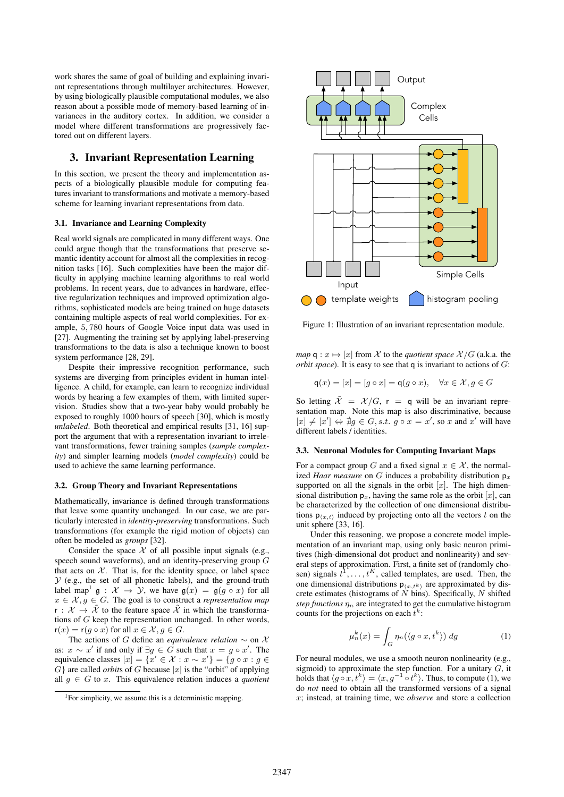work shares the same of goal of building and explaining invariant representations through multilayer architectures. However, by using biologically plausible computational modules, we also reason about a possible mode of memory-based learning of invariances in the auditory cortex. In addition, we consider a model where different transformations are progressively factored out on different layers.

### 3. Invariant Representation Learning

In this section, we present the theory and implementation aspects of a biologically plausible module for computing features invariant to transformations and motivate a memory-based scheme for learning invariant representations from data.

#### 3.1. Invariance and Learning Complexity

Real world signals are complicated in many different ways. One could argue though that the transformations that preserve semantic identity account for almost all the complexities in recognition tasks [16]. Such complexities have been the major difficulty in applying machine learning algorithms to real world problems. In recent years, due to advances in hardware, effective regularization techniques and improved optimization algorithms, sophisticated models are being trained on huge datasets containing multiple aspects of real world complexities. For example, 5, 780 hours of Google Voice input data was used in [27]. Augmenting the training set by applying label-preserving transformations to the data is also a technique known to boost system performance [28, 29].

Despite their impressive recognition performance, such systems are diverging from principles evident in human intelligence. A child, for example, can learn to recognize individual words by hearing a few examples of them, with limited supervision. Studies show that a two-year baby would probably be exposed to roughly 1000 hours of speech [30], which is mostly *unlabeled*. Both theoretical and empirical results [31, 16] support the argument that with a representation invariant to irrelevant transformations, fewer training samples (*sample complexity*) and simpler learning models (*model complexity*) could be used to achieve the same learning performance.

#### 3.2. Group Theory and Invariant Representations

Mathematically, invariance is defined through transformations that leave some quantity unchanged. In our case, we are particularly interested in *identity-preserving* transformations. Such transformations (for example the rigid motion of objects) can often be modeled as *groups* [32].

Consider the space  $X$  of all possible input signals (e.g., speech sound waveforms), and an identity-preserving group G that acts on  $X$ . That is, for the identity space, or label space  $Y$  (e.g., the set of all phonetic labels), and the ground-truth label map<sup>1</sup>  $\mathfrak{g} : \mathcal{X} \to \mathcal{Y}$ , we have  $\mathfrak{g}(x) = \mathfrak{g}(g \circ x)$  for all  $x \in \mathcal{X}, g \in G$ . The goal is to construct a *representation map*  $r : \mathcal{X} \to \tilde{\mathcal{X}}$  to the feature space  $\tilde{\mathcal{X}}$  in which the transformations of G keep the representation unchanged. In other words,  $r(x) = r(q \circ x)$  for all  $x \in \mathcal{X}, q \in G$ .

The actions of G define an *equivalence relation*  $\sim$  on X as:  $x \sim x'$  if and only if  $\exists g \in G$  such that  $x = g \circ x'$ . The equivalence classes  $[x] = \{x' \in \mathcal{X} : x \sim x'\} = \{g \circ x : g \in$  $\widehat{G}$  are called *orbits* of G because [x] is the "orbit" of applying all  $g \in G$  to x. This equivalence relation induces a *quotient* 



Figure 1: Illustration of an invariant representation module.

*map*  $q: x \mapsto [x]$  from X to the *quotient space*  $\mathcal{X}/G$  (a.k.a. the *orbit space*). It is easy to see that q is invariant to actions of G:

$$
\mathsf{q}(x) = [x] = [g \circ x] = \mathsf{q}(g \circ x), \quad \forall x \in \mathcal{X}, g \in G
$$

So letting  $\tilde{\mathcal{X}} = \mathcal{X}/G$ ,  $r = q$  will be an invariant representation map. Note this map is also discriminative, because  $[x] \neq [x'] \Leftrightarrow \nexists g \in G, s.t. g \circ x = x'$ , so x and x' will have different labels / identities.

#### 3.3. Neuronal Modules for Computing Invariant Maps

For a compact group G and a fixed signal  $x \in \mathcal{X}$ , the normalized *Haar measure* on G induces a probability distribution  $p_x$ supported on all the signals in the orbit  $[x]$ . The high dimensional distribution  $p_x$ , having the same role as the orbit  $[x]$ , can be characterized by the collection of one dimensional distributions  $p_{x,t}$  induced by projecting onto all the vectors t on the unit sphere [33, 16].

Under this reasoning, we propose a concrete model implementation of an invariant map, using only basic neuron primitives (high-dimensional dot product and nonlinearity) and several steps of approximation. First, a finite set of (randomly chosen) signals  $t^1, \ldots, t^K$ , called templates, are used. Then, the one dimensional distributions  $p_{\langle x,t^k \rangle}$  are approximated by discrete estimates (histograms of  $\dot{N}$  bins). Specifically,  $N$  shifted *step functions*  $\eta_n$  are integrated to get the cumulative histogram counts for the projections on each  $t^k$ :

$$
\mu_n^k(x) = \int_G \eta_n(\langle g \circ x, t^k \rangle) \, dg \tag{1}
$$

For neural modules, we use a smooth neuron nonlinearity (e.g., sigmoid) to approximate the step function. For a unitary  $G$ , it holds that  $\langle g \circ x, t^k \rangle = \langle x, g^{-1} \circ t^k \rangle$ . Thus, to compute (1), we do *not* need to obtain all the transformed versions of a signal x; instead, at training time, we *observe* and store a collection

 ${}^{1}$ For simplicity, we assume this is a deterministic mapping.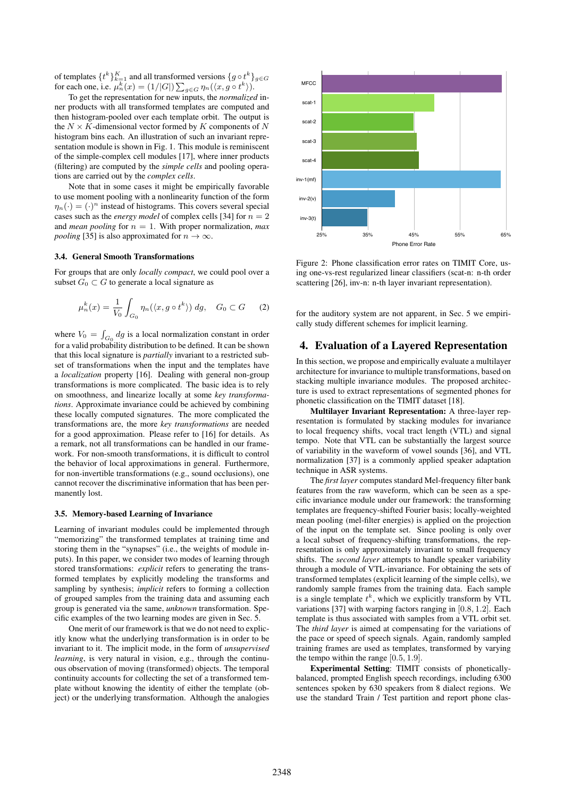of templates  $\{t^k\}_{k=1}^K$  and all transformed versions  $\{g \circ t^k\}_{g \in G}$ for each one, i.e.  $\mu_n^k(x) = (1/|G|) \sum_{g \in G} \eta_n(\langle x, g \circ t^k \rangle).$ 

To get the representation for new inputs, the *normalized* inner products with all transformed templates are computed and then histogram-pooled over each template orbit. The output is the  $N \times K$ -dimensional vector formed by K components of N histogram bins each. An illustration of such an invariant representation module is shown in Fig. 1. This module is reminiscent of the simple-complex cell modules [17], where inner products (filtering) are computed by the *simple cells* and pooling operations are carried out by the *complex cells*.

Note that in some cases it might be empirically favorable to use moment pooling with a nonlinearity function of the form  $\eta_n(\cdot) = (\cdot)^n$  instead of histograms. This covers several special cases such as the *energy model* of complex cells [34] for  $n = 2$ and *mean pooling* for  $n = 1$ . With proper normalization, *max pooling* [35] is also approximated for  $n \to \infty$ .

#### 3.4. General Smooth Transformations

For groups that are only *locally compact*, we could pool over a subset  $G_0 \subset G$  to generate a local signature as

$$
\mu_n^k(x) = \frac{1}{V_0} \int_{G_0} \eta_n(\langle x, g \circ t^k \rangle) \, dg, \quad G_0 \subset G \qquad (2)
$$

where  $V_0 = \int_{G_0} dg$  is a local normalization constant in order for a valid probability distribution to be defined. It can be shown that this local signature is *partially* invariant to a restricted subset of transformations when the input and the templates have a *localization* property [16]. Dealing with general non-group transformations is more complicated. The basic idea is to rely on smoothness, and linearize locally at some *key transformations*. Approximate invariance could be achieved by combining these locally computed signatures. The more complicated the transformations are, the more *key transformations* are needed for a good approximation. Please refer to [16] for details. As a remark, not all transformations can be handled in our framework. For non-smooth transformations, it is difficult to control the behavior of local approximations in general. Furthermore, for non-invertible transformations (e.g., sound occlusions), one cannot recover the discriminative information that has been permanently lost.

#### 3.5. Memory-based Learning of Invariance

Learning of invariant modules could be implemented through "memorizing" the transformed templates at training time and storing them in the "synapses" (i.e., the weights of module inputs). In this paper, we consider two modes of learning through stored transformations: *explicit* refers to generating the transformed templates by explicitly modeling the transforms and sampling by synthesis; *implicit* refers to forming a collection of grouped samples from the training data and assuming each group is generated via the same, *unknown* transformation. Specific examples of the two learning modes are given in Sec. 5.

One merit of our framework is that we do not need to explicitly know what the underlying transformation is in order to be invariant to it. The implicit mode, in the form of *unsupervised learning*, is very natural in vision, e.g., through the continuous observation of moving (transformed) objects. The temporal continuity accounts for collecting the set of a transformed template without knowing the identity of either the template (object) or the underlying transformation. Although the analogies



Figure 2: Phone classification error rates on TIMIT Core, using one-vs-rest regularized linear classifiers (scat-n: n-th order scattering [26], inv-n: n-th layer invariant representation).

for the auditory system are not apparent, in Sec. 5 we empirically study different schemes for implicit learning.

### 4. Evaluation of a Layered Representation

In this section, we propose and empirically evaluate a multilayer architecture for invariance to multiple transformations, based on stacking multiple invariance modules. The proposed architecture is used to extract representations of segmented phones for phonetic classification on the TIMIT dataset [18].

Multilayer Invariant Representation: A three-layer representation is formulated by stacking modules for invariance to local frequency shifts, vocal tract length (VTL) and signal tempo. Note that VTL can be substantially the largest source of variability in the waveform of vowel sounds [36], and VTL normalization [37] is a commonly applied speaker adaptation technique in ASR systems.

The *first layer* computes standard Mel-frequency filter bank features from the raw waveform, which can be seen as a specific invariance module under our framework: the transforming templates are frequency-shifted Fourier basis; locally-weighted mean pooling (mel-filter energies) is applied on the projection of the input on the template set. Since pooling is only over a local subset of frequency-shifting transformations, the representation is only approximately invariant to small frequency shifts. The *second layer* attempts to handle speaker variability through a module of VTL-invariance. For obtaining the sets of transformed templates (explicit learning of the simple cells), we randomly sample frames from the training data. Each sample is a single template  $t^k$ , which we explicitly transform by VTL variations [37] with warping factors ranging in [0.8, 1.2]. Each template is thus associated with samples from a VTL orbit set. The *third layer* is aimed at compensating for the variations of the pace or speed of speech signals. Again, randomly sampled training frames are used as templates, transformed by varying the tempo within the range  $[0.5, 1.9]$ .

Experimental Setting: TIMIT consists of phoneticallybalanced, prompted English speech recordings, including 6300 sentences spoken by 630 speakers from 8 dialect regions. We use the standard Train / Test partition and report phone clas-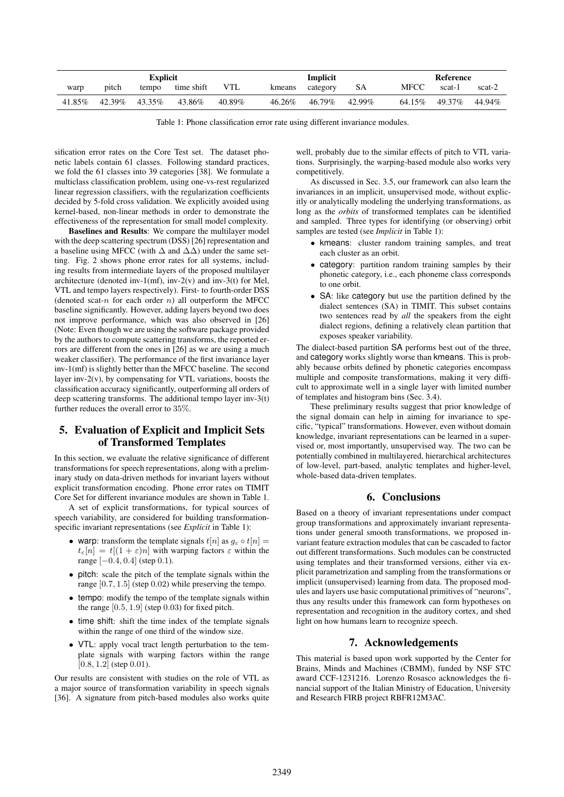| <b>Explicit</b> |        |        |            |        |        | Implicit |        |             | Reference     |        |  |
|-----------------|--------|--------|------------|--------|--------|----------|--------|-------------|---------------|--------|--|
| warp            | pitch  | tempo  | time shift | VTL    | kmeans | category | SА     | <b>MFCC</b> | scat-1        | scat-2 |  |
| 41.85%          | 42.39% | 43.35% | 43.86%     | 40.89% | 46.26% | 46.79%   | 42.99% |             | 64.15% 49.37% | 44.94% |  |

Table 1: Phone classification error rate using different invariance modules.

sification error rates on the Core Test set. The dataset phonetic labels contain 61 classes. Following standard practices, we fold the 61 classes into 39 categories [38]. We formulate a multiclass classification problem, using one-vs-rest regularized linear regression classifiers, with the regularization coefficients decided by 5-fold cross validation. We explicitly avoided using kernel-based, non-linear methods in order to demonstrate the effectiveness of the representation for small model complexity.

Baselines and Results: We compare the multilayer model with the deep scattering spectrum (DSS) [26] representation and a baseline using MFCC (with  $\Delta$  and  $\Delta\Delta$ ) under the same setting. Fig. 2 shows phone error rates for all systems, including results from intermediate layers of the proposed multilayer architecture (denoted inv-1(mf), inv-2(v) and inv-3(t) for Mel, VTL and tempo layers respectively). First- to fourth-order DSS (denoted scat-n for each order n) all outperform the MFCC baseline significantly. However, adding layers beyond two does not improve performance, which was also observed in [26] (Note: Even though we are using the software package provided by the authors to compute scattering transforms, the reported errors are different from the ones in [26] as we are using a much weaker classifier). The performance of the first invariance layer inv-1(mf) is slightly better than the MFCC baseline. The second layer inv-2(v), by compensating for VTL variations, boosts the classification accuracy significantly, outperforming all orders of deep scattering transforms. The additional tempo layer inv-3(t) further reduces the overall error to 35%.

# 5. Evaluation of Explicit and Implicit Sets of Transformed Templates

In this section, we evaluate the relative significance of different transformations for speech representations, along with a preliminary study on data-driven methods for invariant layers without explicit transformation encoding. Phone error rates on TIMIT Core Set for different invariance modules are shown in Table 1.

A set of explicit transformations, for typical sources of speech variability, are considered for building transformationspecific invariant representations (see *Explicit* in Table 1):

- warp: transform the template signals  $t[n]$  as  $g_{\varepsilon} \circ t[n] =$  $t_{\varepsilon}[n] = t[(1+\varepsilon)n]$  with warping factors  $\varepsilon$  within the range  $[-0.4, 0.4]$  (step 0.1).
- pitch: scale the pitch of the template signals within the range [0.7, 1.5] (step 0.02) while preserving the tempo.
- tempo: modify the tempo of the template signals within the range  $[0.5, 1.9]$  (step 0.03) for fixed pitch.
- time shift: shift the time index of the template signals within the range of one third of the window size.
- VTL: apply vocal tract length perturbation to the template signals with warping factors within the range [0.8, 1.2] (step 0.01).

Our results are consistent with studies on the role of VTL as a major source of transformation variability in speech signals [36]. A signature from pitch-based modules also works quite well, probably due to the similar effects of pitch to VTL variations. Surprisingly, the warping-based module also works very competitively.

As discussed in Sec. 3.5, our framework can also learn the invariances in an implicit, unsupervised mode, without explicitly or analytically modeling the underlying transformations, as long as the *orbits* of transformed templates can be identified and sampled. Three types for identifying (or observing) orbit samples are tested (see *Implicit* in Table 1):

- kmeans: cluster random training samples, and treat each cluster as an orbit.
- category: partition random training samples by their phonetic category, i.e., each phoneme class corresponds to one orbit.
- SA: like category but use the partition defined by the dialect sentences (SA) in TIMIT. This subset contains two sentences read by *all* the speakers from the eight dialect regions, defining a relatively clean partition that exposes speaker variability.

The dialect-based partition SA performs best out of the three, and category works slightly worse than kmeans. This is probably because orbits defined by phonetic categories encompass multiple and composite transformations, making it very difficult to approximate well in a single layer with limited number of templates and histogram bins (Sec. 3.4).

These preliminary results suggest that prior knowledge of the signal domain can help in aiming for invariance to specific, "typical" transformations. However, even without domain knowledge, invariant representations can be learned in a supervised or, most importantly, unsupervised way. The two can be potentially combined in multilayered, hierarchical architectures of low-level, part-based, analytic templates and higher-level, whole-based data-driven templates.

# 6. Conclusions

Based on a theory of invariant representations under compact group transformations and approximately invariant representations under general smooth transformations, we proposed invariant feature extraction modules that can be cascaded to factor out different transformations. Such modules can be constructed using templates and their transformed versions, either via explicit parametrization and sampling from the transformations or implicit (unsupervised) learning from data. The proposed modules and layers use basic computational primitives of "neurons", thus any results under this framework can form hypotheses on representation and recognition in the auditory cortex, and shed light on how humans learn to recognize speech.

## 7. Acknowledgements

This material is based upon work supported by the Center for Brains, Minds and Machines (CBMM), funded by NSF STC award CCF-1231216. Lorenzo Rosasco acknowledges the financial support of the Italian Ministry of Education, University and Research FIRB project RBFR12M3AC.